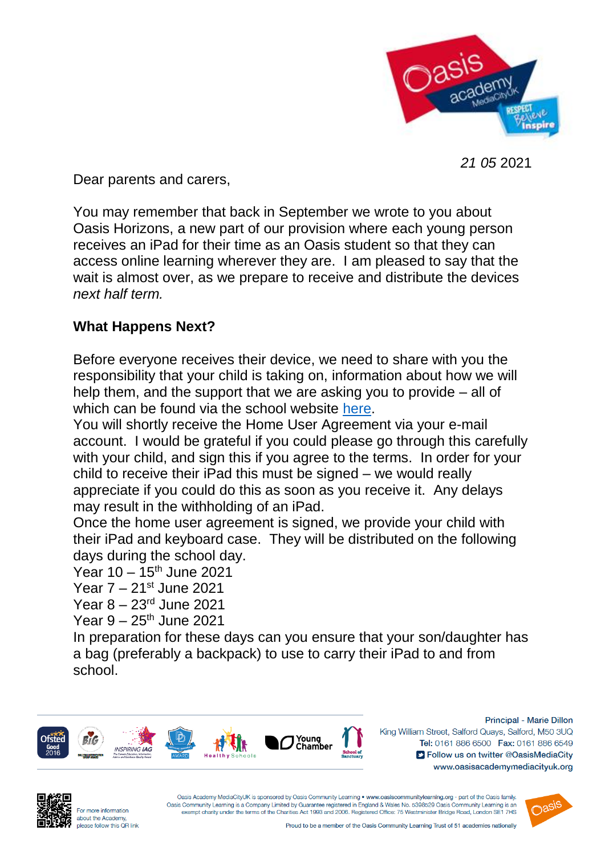

*21 05* 2021

Dear parents and carers,

You may remember that back in September we wrote to you about Oasis Horizons, a new part of our provision where each young person receives an iPad for their time as an Oasis student so that they can access online learning wherever they are. I am pleased to say that the wait is almost over, as we prepare to receive and distribute the devices *next half term.*

## **What Happens Next?**

Before everyone receives their device, we need to share with you the responsibility that your child is taking on, information about how we will help them, and the support that we are asking you to provide – all of which can be found via the school website [here.](https://www.oasisacademymediacityuk.org/about-us/oasis-horizons)

You will shortly receive the Home User Agreement via your e-mail account. I would be grateful if you could please go through this carefully with your child, and sign this if you agree to the terms. In order for your child to receive their iPad this must be signed – we would really appreciate if you could do this as soon as you receive it. Any delays may result in the withholding of an iPad.

Once the home user agreement is signed, we provide your child with their iPad and keyboard case. They will be distributed on the following days during the school day.

Year  $10 - 15$ <sup>th</sup> June 2021

Year 7 – 21st June 2021

Year 8 – 23rd June 2021

Year  $9 - 25$ <sup>th</sup> June 2021

In preparation for these days can you ensure that your son/daughter has a bag (preferably a backpack) to use to carry their iPad to and from school.



Principal - Marie Dillon King William Street, Salford Quays, Salford, M50 3UQ Tel: 0161 886 6500 Fax: 0161 886 6549 S Follow us on twitter @OasisMediaCity www.oasisacademymediacityuk.org



Oasis Academy MediaCityUK is sponsored by Oasis Community Learning . www.oasiscommunitylearning.org - part of the Oasis family. Oasis Community Learning is a Company Limited by Guarantee registered in England & Wales No. 5398529 Oasis Community Learning is an exempt charity under the terms of the Charities Act 1993 and 2006. Registered Office: 75 Westminister Bridge Road, London SE1 7HS